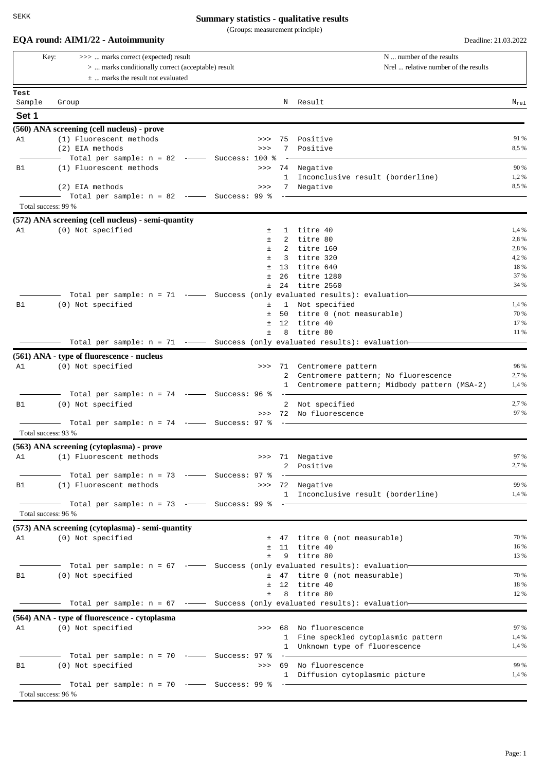(Groups: measurement principle)

|        | >>>  marks correct (expected) result<br>Key:                                                                          |  |       | N  number of the results |                                               |               |
|--------|-----------------------------------------------------------------------------------------------------------------------|--|-------|--------------------------|-----------------------------------------------|---------------|
|        | >  marks conditionally correct (acceptable) result                                                                    |  |       |                          | Nrel  relative number of the results          |               |
|        | $\pm$ marks the result not evaluated                                                                                  |  |       |                          |                                               |               |
| Test   |                                                                                                                       |  |       |                          |                                               |               |
| Sample | Group                                                                                                                 |  |       | N                        | Result                                        | $N_{re1}$     |
| Set 1  |                                                                                                                       |  |       |                          |                                               |               |
|        | (560) ANA screening (cell nucleus) - prove                                                                            |  |       |                          |                                               |               |
| A1     | (1) Fluorescent methods                                                                                               |  | >>    |                          | 75 Positive                                   | 91 %          |
|        | (2) EIA methods                                                                                                       |  | >>    | 7                        | Positive                                      | 8,5 %         |
|        | - Total per sample: n = 82 ------ Success: 100 %                                                                      |  |       |                          |                                               |               |
| B1     | (1) Fluorescent methods                                                                                               |  | $>>>$ |                          | 74 Negative                                   | 90 %          |
|        |                                                                                                                       |  |       | $\mathbf{1}$             | Inconclusive result (borderline)              | 1,2%          |
|        | (2) EIA methods<br>$-$ Total per sample: n = 82 $-$ Success: 99 %                                                     |  | >>    | 7                        | Negative                                      | 8,5 %         |
|        | Total success: 99 %                                                                                                   |  |       |                          |                                               |               |
|        | (572) ANA screening (cell nucleus) - semi-quantity                                                                    |  |       |                          |                                               |               |
| A1     | (0) Not specified                                                                                                     |  | 士     | 1                        | titre 40                                      | 1,4 %         |
|        |                                                                                                                       |  | $\pm$ |                          | 2 titre 80                                    | 2,8 %         |
|        |                                                                                                                       |  | Ŧ.    | 2                        | titre 160                                     | 2,8 %         |
|        |                                                                                                                       |  | $\pm$ | 3                        | titre 320                                     | 4,2%          |
|        |                                                                                                                       |  | Ŧ.    | 13                       | titre 640                                     | 18 %          |
|        |                                                                                                                       |  | Ŧ.    | 26                       | titre 1280                                    | 37 %<br>34 %  |
|        | Total per sample: n = 71 -- Success (only evaluated results): evaluation-                                             |  | Ŧ.    | 24                       | titre 2560                                    |               |
| B1     | (0) Not specified                                                                                                     |  | Ŧ.    |                          | 1 Not specified                               | 1,4 %         |
|        |                                                                                                                       |  | Ŧ.    | 50                       | titre 0 (not measurable)                      | 70 %          |
|        |                                                                                                                       |  | Ŧ.    | 12                       | titre 40                                      | 17 %          |
|        |                                                                                                                       |  | Ŧ.    | 8                        | titre 80                                      | 11 %          |
|        | Total per sample: n = 71 -- Success (only evaluated results): evaluation-                                             |  |       |                          |                                               |               |
|        | (561) ANA - type of fluorescence - nucleus                                                                            |  |       |                          |                                               |               |
| A1     | (0) Not specified                                                                                                     |  |       |                          | >>> 71 Centromere pattern                     | 96 %          |
|        |                                                                                                                       |  |       |                          | 2 Centromere pattern; No fluorescence         | 2,7 %         |
|        |                                                                                                                       |  |       |                          | 1 Centromere pattern; Midbody pattern (MSA-2) | 1,4 %         |
|        | Total per sample: $n = 74$ --- Success: 96 % --                                                                       |  |       |                          |                                               |               |
| B1     | (0) Not specified                                                                                                     |  |       |                          | 2 Not specified                               | 2,7 %<br>97 % |
|        | Total per sample: $n = 74$ -- Success: 97 %                                                                           |  |       |                          | >>> 72 No fluorescence                        |               |
|        | Total success: 93 %                                                                                                   |  |       |                          |                                               |               |
|        | (563) ANA screening (cytoplasma) - prove                                                                              |  |       |                          |                                               |               |
| A1     | (1) Fluorescent methods                                                                                               |  |       |                          | >>> 71 Negative                               | 97 %          |
|        |                                                                                                                       |  |       |                          | 2 Positive                                    | 2,7 %         |
|        | —   Total  per  sample:  n  =  73    -——    Success:  97  %   -————                                                   |  |       |                          |                                               |               |
| B1     | (1) Fluorescent methods                                                                                               |  |       |                          | >>> 72 Negative                               | 99 %          |
|        |                                                                                                                       |  |       |                          | 1 Inconclusive result (borderline)            | 1,4 %         |
|        |                                                                                                                       |  |       |                          |                                               |               |
|        | Total success: 96 %                                                                                                   |  |       |                          |                                               |               |
|        | (573) ANA screening (cytoplasma) - semi-quantity                                                                      |  |       |                          |                                               |               |
|        | A1 (0) Not specified                                                                                                  |  |       |                          | ± 47 titre 0 (not measurable)                 | 70 %          |
|        |                                                                                                                       |  | $\pm$ |                          | $±$ 11 titre 40<br>9 titre 80                 | 16 %<br>13 %  |
|        | — Total per sample: n = 67 -—— Success (only evaluated results): evaluation—                                          |  |       |                          |                                               |               |
| B1     | (0) Not specified                                                                                                     |  |       |                          | ± 47 titre 0 (not measurable)                 | 70 %          |
|        |                                                                                                                       |  |       |                          | $\pm$ 12 titre 40                             | 18 %          |
|        |                                                                                                                       |  | $\pm$ |                          | 8 titre 80                                    | 12 %          |
|        |                                                                                                                       |  |       |                          |                                               |               |
|        | (564) ANA - type of fluorescence - cytoplasma                                                                         |  |       |                          |                                               |               |
| A1     | (0) Not specified                                                                                                     |  |       |                          | >>> 68 No fluorescence                        | 97 %          |
|        |                                                                                                                       |  |       |                          | 1 Fine speckled cytoplasmic pattern           | 1,4 %         |
|        |                                                                                                                       |  |       |                          | 1 Unknown type of fluorescence                | 1,4%          |
|        | $\overline{\phantom{1}}$ Total per sample: n = 70 - $\overline{\phantom{1}}$ Success: 97 % - $\overline{\phantom{1}}$ |  |       |                          |                                               |               |
| B1     | (0) Not specified                                                                                                     |  |       |                          | >>> 69 No fluorescence                        | 99 %          |
|        |                                                                                                                       |  |       |                          | 1 Diffusion cytoplasmic picture               | 1,4 %         |
|        | Total success: 96 %                                                                                                   |  |       |                          |                                               |               |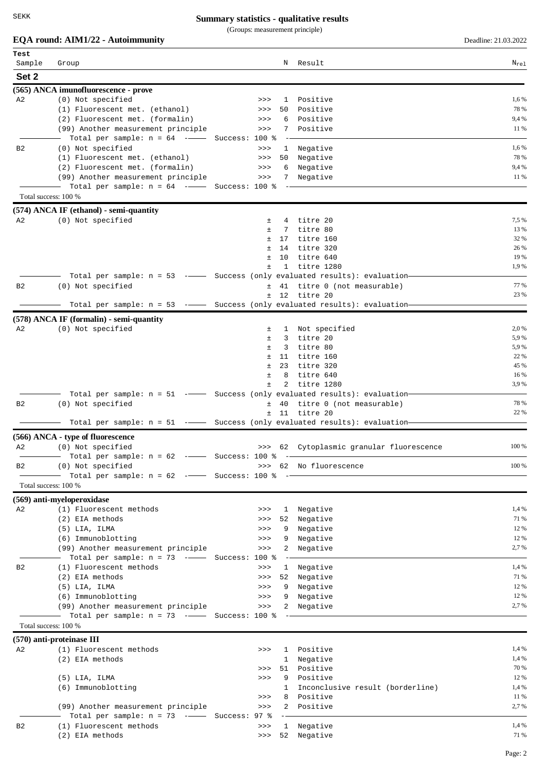(Groups: measurement principle)

# **EQA round: AIM1/22 - Autoimmunity** Deadline: 21.03.2022

| Test           |                                                                                    |                |                 |                                              |                             |
|----------------|------------------------------------------------------------------------------------|----------------|-----------------|----------------------------------------------|-----------------------------|
| Sample         | Group                                                                              |                | N               | Result                                       | $\texttt{N}_{\texttt{rel}}$ |
| Set 2          |                                                                                    |                |                 |                                              |                             |
|                | (565) ANCA imunofluorescence - prove                                               |                |                 |                                              |                             |
| A <sub>2</sub> | (0) Not specified                                                                  | >>             | 1               | Positive                                     | 1,6 %                       |
|                | (1) Fluorescent met. (ethanol)                                                     | >>             | 50              | Positive                                     | 78 %                        |
|                | (2) Fluorescent met. (formalin)                                                    | >>             | 6               | Positive                                     | 9,4 %                       |
|                | (99) Another measurement principle                                                 | >>             | 7               | Positive                                     | 11 %                        |
|                | Total per sample: $n = 64$ -- Success: 100 %                                       |                |                 |                                              |                             |
| B <sub>2</sub> | (0) Not specified                                                                  | >>             | $\mathbf{1}$    | Negative                                     | 1,6 %                       |
|                | (1) Fluorescent met. (ethanol)                                                     | $>>>$          | 50              | Negative                                     | 78 %                        |
|                | (2) Fluorescent met. (formalin)                                                    | >>             | 6               | Negative                                     | 9,4 %                       |
|                | (99) Another measurement principle<br>Total per sample: $n = 64$ -- Success: 100 % | $>>>$          | 7               | Negative                                     | 11 %                        |
|                | Total success: 100 %                                                               |                |                 |                                              |                             |
|                |                                                                                    |                |                 |                                              |                             |
|                | $(574)$ ANCA IF (ethanol) - semi-quantity                                          |                |                 |                                              |                             |
| A2             | (0) Not specified                                                                  | ±.<br>$\pm$    | 7               | 4 titre 20<br>titre 80                       | 7,5 %<br>13 %               |
|                |                                                                                    | $\pm$          | 17              | titre 160                                    | 32 %                        |
|                |                                                                                    | $\pm$          | 14              | titre 320                                    | 26 %                        |
|                |                                                                                    | $\pm$          | 10 <sup>°</sup> | titre 640                                    | 19 %                        |
|                |                                                                                    | Ŧ.             |                 | 1 titre 1280                                 | 1,9%                        |
|                | Total per sample: n = 53 -- Success (only evaluated results): evaluation-          |                |                 |                                              |                             |
| B2             | (0) Not specified                                                                  | $\pm$          |                 | 41 titre 0 (not measurable)                  | 77 %                        |
|                |                                                                                    | ±.             |                 | 12 titre 20                                  | 23 %                        |
|                | Total per sample: $n = 53$ - Success (only evaluated results): evaluation-         |                |                 |                                              |                             |
|                | (578) ANCA IF (formalin) - semi-quantity                                           |                |                 |                                              |                             |
| A <sub>2</sub> | (0) Not specified                                                                  | ±.             |                 | 1 Not specified                              | 2,0 %                       |
|                |                                                                                    | $\pm$          | 3               | titre 20                                     | 5,9%                        |
|                |                                                                                    | $\pm$<br>$\pm$ | 3               | titre 80                                     | 5,9%<br>22 %                |
|                |                                                                                    | $\pm$          | 23              | 11 titre 160<br>titre 320                    | 45 %                        |
|                |                                                                                    | Ŧ.             | 8               | titre 640                                    | 16 %                        |
|                |                                                                                    | $\pm$          | 2               | titre 1280                                   | 3,9%                        |
|                | Total per sample: n = 51 -- Success (only evaluated results): evaluation-          |                |                 |                                              |                             |
| B <sub>2</sub> | (0) Not specified                                                                  | ±              |                 | 40 titre 0 (not measurable)                  | 78 %                        |
|                |                                                                                    | $\pm$          | 11              | titre 20                                     | 22 %                        |
|                | Total per sample: $n = 51$ - Success (only evaluated results): evaluation-         |                |                 |                                              |                             |
|                | (566) ANCA - type of fluorescence                                                  |                |                 |                                              |                             |
| A2             | (0) Not specified                                                                  |                |                 | >>> 62 Cytoplasmic granular fluorescence     | 100 %                       |
|                | Total per sample: $n = 62$ -- Success: 100 %                                       |                |                 |                                              |                             |
| В2             | (0) Not specified                                                                  |                |                 | >>> 62 No fluorescence                       | 100 %                       |
|                | Total per sample: $n = 62$ -- Success: 100 %<br>Total success: 100 %               |                |                 |                                              |                             |
|                |                                                                                    |                |                 |                                              |                             |
|                | (569) anti-myeloperoxidase                                                         |                |                 |                                              |                             |
| A2             | (1) Fluorescent methods                                                            | >>             | $\mathbf{1}$    | Negative                                     | 1,4 %                       |
|                | (2) EIA methods                                                                    | >>             | 52              | Negative                                     | 71 %                        |
|                | $(5)$ LIA, ILMA                                                                    | >>><br>>>      | 9<br>9          | Negative                                     | 12 %<br>12 %                |
|                | (6) Immunoblotting<br>(99) Another measurement principle                           | >>             | 2               | Negative<br>Negative                         | 2,7 %                       |
|                | Total per sample: $n = 73$ -- Success: 100 %                                       |                |                 |                                              |                             |
| B2             | (1) Fluorescent methods                                                            | >>             | $\mathbf{1}$    | Negative                                     | 1,4 %                       |
|                | (2) EIA methods                                                                    | >>             | 52              | Negative                                     | 71 %                        |
|                | $(5)$ LIA, ILMA                                                                    | >>             | 9               | Negative                                     | 12 %                        |
|                | (6) Immunoblotting                                                                 | >>             | 9               | Negative                                     | 12 %                        |
|                | (99) Another measurement principle                                                 | >>             | 2               | Negative                                     | 2,7%                        |
|                | Total per sample: $n = 73$ -- Success: 100 %                                       |                |                 |                                              |                             |
|                | Total success: 100 %                                                               |                |                 |                                              |                             |
|                | $(570)$ anti-proteinase III                                                        |                |                 |                                              |                             |
| A2             | (1) Fluorescent methods                                                            | >>             | 1               | Positive                                     | 1,4 %                       |
|                | (2) EIA methods                                                                    |                | $\mathbf{1}$    | Negative                                     | 1,4 %                       |
|                |                                                                                    | >>             |                 | 51 Positive                                  | 70 %                        |
|                | $(5)$ LIA, ILMA                                                                    | >>             | 9               | Positive                                     | 12 %                        |
|                | (6) Immunoblotting                                                                 | >>             | 8               | Inconclusive result (borderline)<br>Positive | 1,4 %<br>11 %               |
|                | (99) Another measurement principle                                                 | >>             | 2               | Positive                                     | 2,7 %                       |
|                | Total per sample: $n = 73$ -- Success: 97 %                                        |                |                 |                                              |                             |
| <b>B2</b>      | (1) Fluorescent methods                                                            | >>             |                 | 1 Negative                                   | 1,4 %                       |
|                | (2) EIA methods                                                                    | >>             |                 | 52 Negative                                  | 71 %                        |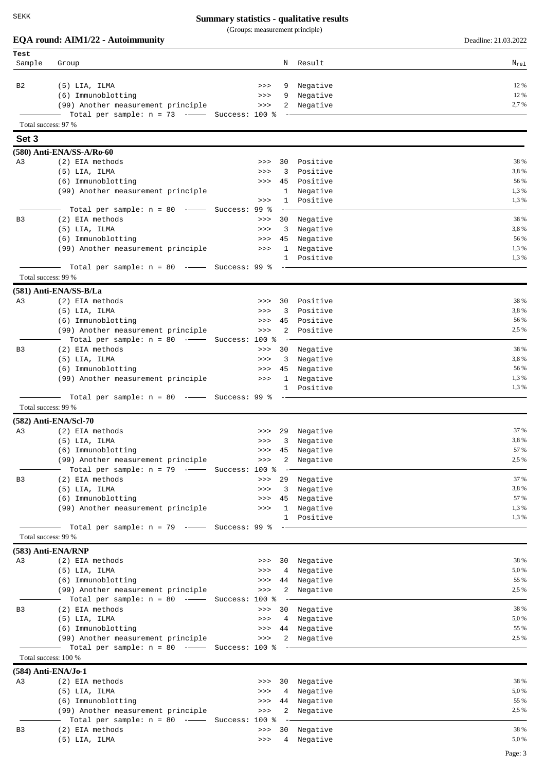(Groups: measurement principle)

#### **EQA round: AIM1/22 - Autoimmunity** Deadline: 21.03.2022

| Test                |                                                |     |   |             |           |
|---------------------|------------------------------------------------|-----|---|-------------|-----------|
| Sample              | Group                                          |     |   | N Result    | $N_{re1}$ |
| B <sub>2</sub>      | $(5)$ LIA, ILMA                                | >>  | 9 | Negative    | 12 %      |
|                     | (6) Immunoblotting                             | >>> |   | 9 Negative  | 12 %      |
|                     | (99) Another measurement principle             | >>  |   | 2 Negative  | 2,7 %     |
|                     | Total per sample: $n = 73$ -- Success: 100 % - |     |   |             |           |
| Total success: 97 % |                                                |     |   |             |           |
| Set 3               |                                                |     |   |             |           |
|                     | (580) Anti-ENA/SS-A/Ro-60                      |     |   |             |           |
| A <sub>3</sub>      | (2) EIA methods                                | >>  |   | 30 Positive | 38 %      |
|                     | $(5)$ $TTA$ $TTMA$                             |     |   |             | 38%       |

|                | $(5)$ LIA, ILMA                              | >>> | 3              | Positive    | 3,8%  |
|----------------|----------------------------------------------|-----|----------------|-------------|-------|
|                | (6) Immunoblotting                           | >>  | 45             | Positive    | 56 %  |
|                | (99) Another measurement principle           |     | $\mathbf{1}$   | Negative    | 1,3%  |
|                |                                              | >>  | 1              | Positive    | 1,3%  |
|                | Total per sample: $n = 80$ -- Success: 99 %  |     |                |             |       |
| B <sub>3</sub> | (2) EIA methods                              | >>  | 30             | Negative    | 38 %  |
|                | $(5)$ LIA, ILMA                              | >>  | 3              | Negative    | 3,8%  |
|                | (6) Immunoblotting                           | >>  | 45             | Negative    | 56 %  |
|                | (99) Another measurement principle           | >>  | $\mathbf{1}$   | Negative    | 1,3%  |
|                |                                              |     |                | 1 Positive  | 1,3%  |
|                | Total per sample: $n = 80$ -- Success: 99 %  |     |                |             |       |
|                | Total success: 99 %                          |     |                |             |       |
|                | (581) Anti-ENA/SS-B/La                       |     |                |             |       |
| A3             | (2) EIA methods                              | >>  |                | 30 Positive | 38 %  |
|                | $(5)$ LIA, ILMA                              | >>  | 3              | Positive    | 3,8%  |
|                | (6) Immunoblotting                           | >>  | 45             | Positive    | 56 %  |
|                | (99) Another measurement principle           | >>  |                | 2 Positive  | 2,5 % |
|                | Total per sample: $n = 80$ -- Success: 100 % |     |                |             |       |
| B3             | (2) EIA methods                              | >>  |                | 30 Negative | 38 %  |
|                | $(5)$ LIA, ILMA                              | >>  | 3              | Negative    | 3,8%  |
|                | (6) Immunoblotting                           | >>  | 45             | Negative    | 56 %  |
|                | (99) Another measurement principle           | >>  | $\mathbf{1}$   | Negative    | 1,3%  |
|                |                                              |     | 1              | Positive    | 1,3%  |
|                | Total per sample: $n = 80$ -- Success: 99 %  |     |                |             |       |
|                | Total success: 99 %                          |     |                |             |       |
|                | $(582)$ Anti-ENA/Scl-70                      |     |                |             |       |
| A3             | (2) EIA methods                              | >>> |                | 29 Negative | 37 %  |
|                | $(5)$ LIA, ILMA                              | >>  | $\overline{3}$ | Negative    | 3,8%  |
|                | (6) Immunoblotting                           | >>  | 45             | Negative    | 57 %  |
|                | (99) Another measurement principle           | >>  | 2              | Negative    | 2,5 % |
|                | Total per sample: $n = 79$ -- Success: 100 % |     |                |             |       |
| B <sub>3</sub> | (2) EIA methods                              | >>  | 29             | Negative    | 37 %  |
|                | (5) LIA, ILMA                                | >>  | 3              | Negative    | 3,8%  |
|                | (6) Immunoblotting                           | >>  | 45             | Negative    | 57 %  |
|                | (99) Another measurement principle           | >>  | $\mathbf{1}$   | Negative    | 1,3%  |
|                |                                              |     | $\mathbf{1}$   | Positive    | 1,3%  |
|                | Total per sample: $n = 79$ -- Success: 99 %  |     |                |             |       |
|                | Total success: 99 %                          |     |                |             |       |

**(583) Anti-ENA/RNP**

| A3             | (2) EIA methods                                | >>> | 30 Negative     | 38 %  |
|----------------|------------------------------------------------|-----|-----------------|-------|
|                | (5) LIA, ILMA                                  |     | >>> 4 Negative  | 5,0%  |
|                | (6) Immunoblotting                             |     | >>> 44 Negative | 55 %  |
|                | (99) Another measurement principle             |     | >>> 2 Negative  | 2.5 % |
|                | Total per sample: $n = 80$ -- Success: 100 % - |     |                 |       |
| B <sub>3</sub> | (2) EIA methods                                | >>> | 30 Negative     | 38 %  |
|                | (5) LIA, ILMA                                  |     | >>> 4 Negative  | 5,0%  |
|                | (6) Immunoblotting                             |     | >>> 44 Negative | 55 %  |
|                | (99) Another measurement principle             |     | >>> 2 Negative  | 2.5 % |
|                | Total per sample: $n = 80$ --- Success: 100 %  |     |                 |       |

Total success: 100 % **(584) Anti-ENA/Jo-1**

| (504) AIIU-ENA/J0-1 |                                                  |     |                 |       |
|---------------------|--------------------------------------------------|-----|-----------------|-------|
| A3                  | (2) EIA methods                                  | >>> | 30 Negative     | 38 %  |
|                     | (5) LIA, ILMA                                    |     | >>> 4 Negative  | 5,0 % |
|                     | (6) Immunoblotting                               |     | >>> 44 Negative | 55 %  |
|                     | (99) Another measurement principle               |     | >>> 2 Negative  | 2.5 % |
|                     | Total per sample: $n = 80$ --- Success: 100 % -- |     |                 |       |
| B <sub>3</sub>      | (2) EIA methods                                  | >>  | 30 Negative     | 38 %  |
|                     | (5) LIA, ILMA                                    |     | >>> 4 Negative  | 5,0 % |
|                     |                                                  |     |                 |       |